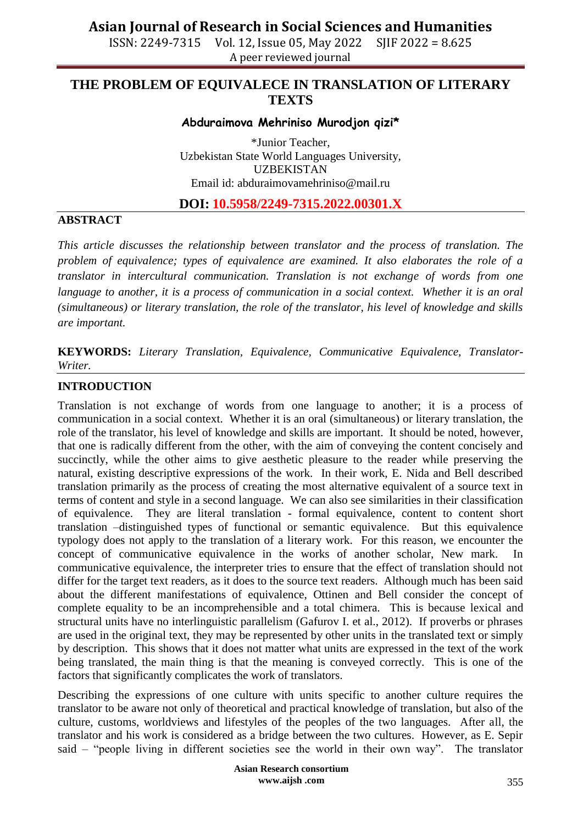ISSN: 2249-7315 Vol. 12, Issue 05, May 2022 SJIF 2022 = 8.625 A peer reviewed journal

## **THE PROBLEM OF EQUIVALECE IN TRANSLATION OF LITERARY TEXTS**

## **Abduraimova Mehriniso Murodjon qizi\***

\*Junior Teacher, Uzbekistan State World Languages University, UZBEKISTAN Email id: abduraimovamehriniso@mail.ru

## **DOI: 10.5958/2249-7315.2022.00301.X**

#### **ABSTRACT**

*This article discusses the relationship between translator and the process of translation. The problem of equivalence; types of equivalence are examined. It also elaborates the role of a translator in intercultural communication. Translation is not exchange of words from one language to another, it is a process of communication in a social context. Whether it is an oral (simultaneous) or literary translation, the role of the translator, his level of knowledge and skills are important.* 

**KEYWORDS:** *Literary Translation, Equivalence, Communicative Equivalence, Translator-Writer.*

#### **INTRODUCTION**

Translation is not exchange of words from one language to another; it is a process of communication in a social context. Whether it is an oral (simultaneous) or literary translation, the role of the translator, his level of knowledge and skills are important. It should be noted, however, that one is radically different from the other, with the aim of conveying the content concisely and succinctly, while the other aims to give aesthetic pleasure to the reader while preserving the natural, existing descriptive expressions of the work. In their work, E. Nida and Bell described translation primarily as the process of creating the most alternative equivalent of a source text in terms of content and style in a second language. We can also see similarities in their classification of equivalence. They are literal translation - formal equivalence, content to content short translation –distinguished types of functional or semantic equivalence. But this equivalence typology does not apply to the translation of a literary work. For this reason, we encounter the concept of communicative equivalence in the works of another scholar, New mark. In communicative equivalence, the interpreter tries to ensure that the effect of translation should not differ for the target text readers, as it does to the source text readers. Although much has been said about the different manifestations of equivalence, Ottinen and Bell consider the concept of complete equality to be an incomprehensible and a total chimera. This is because lexical and structural units have no interlinguistic parallelism (Gafurov I. et al., 2012). If proverbs or phrases are used in the original text, they may be represented by other units in the translated text or simply by description. This shows that it does not matter what units are expressed in the text of the work being translated, the main thing is that the meaning is conveyed correctly. This is one of the factors that significantly complicates the work of translators.

Describing the expressions of one culture with units specific to another culture requires the translator to be aware not only of theoretical and practical knowledge of translation, but also of the culture, customs, worldviews and lifestyles of the peoples of the two languages. After all, the translator and his work is considered as a bridge between the two cultures. However, as E. Sepir said – "people living in different societies see the world in their own way". The translator